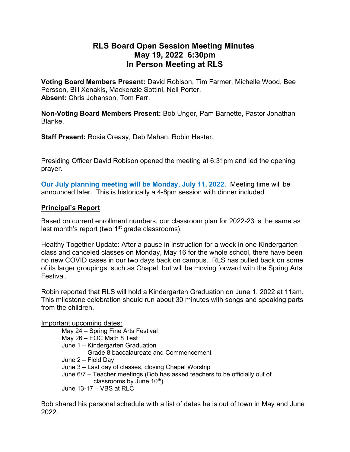# RLS Board Open Session Meeting Minutes May 19, 2022 6:30pm In Person Meeting at RLS

Voting Board Members Present: David Robison, Tim Farmer, Michelle Wood, Bee Persson, Bill Xenakis, Mackenzie Sottini, Neil Porter. Absent: Chris Johanson, Tom Farr.

Non-Voting Board Members Present: Bob Unger, Pam Barnette, Pastor Jonathan Blanke.

Staff Present: Rosie Creasy, Deb Mahan, Robin Hester.

Presiding Officer David Robison opened the meeting at 6:31pm and led the opening prayer.

Our July planning meeting will be Monday, July 11, 2022. Meeting time will be announced later. This is historically a 4-8pm session with dinner included.

#### Principal's Report

Based on current enrollment numbers, our classroom plan for 2022-23 is the same as last month's report (two  $1<sup>st</sup>$  grade classrooms).

Healthy Together Update: After a pause in instruction for a week in one Kindergarten class and canceled classes on Monday, May 16 for the whole school, there have been no new COVID cases in our two days back on campus. RLS has pulled back on some of its larger groupings, such as Chapel, but will be moving forward with the Spring Arts Festival.

Robin reported that RLS will hold a Kindergarten Graduation on June 1, 2022 at 11am. This milestone celebration should run about 30 minutes with songs and speaking parts from the children.

#### Important upcoming dates:

 May 24 – Spring Fine Arts Festival May 26 – EOC Math 8 Test June 1 – Kindergarten Graduation Grade 8 baccalaureate and Commencement June 2 – Field Day June 3 – Last day of classes, closing Chapel Worship June 6/7 – Teacher meetings (Bob has asked teachers to be officially out of classrooms by June  $10<sup>th</sup>$ ) June 13-17 – VBS at RLC

Bob shared his personal schedule with a list of dates he is out of town in May and June 2022.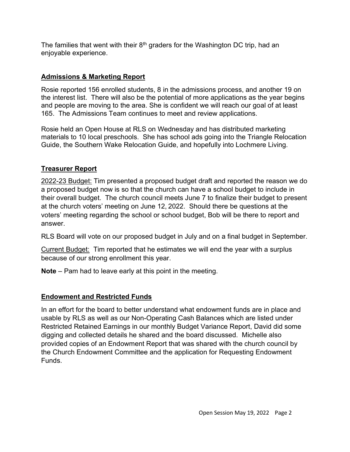The families that went with their  $8<sup>th</sup>$  graders for the Washington DC trip, had an enjoyable experience.

## Admissions & Marketing Report

Rosie reported 156 enrolled students, 8 in the admissions process, and another 19 on the interest list. There will also be the potential of more applications as the year begins and people are moving to the area. She is confident we will reach our goal of at least 165. The Admissions Team continues to meet and review applications.

Rosie held an Open House at RLS on Wednesday and has distributed marketing materials to 10 local preschools. She has school ads going into the Triangle Relocation Guide, the Southern Wake Relocation Guide, and hopefully into Lochmere Living.

## Treasurer Report

2022-23 Budget: Tim presented a proposed budget draft and reported the reason we do a proposed budget now is so that the church can have a school budget to include in their overall budget. The church council meets June 7 to finalize their budget to present at the church voters' meeting on June 12, 2022. Should there be questions at the voters' meeting regarding the school or school budget, Bob will be there to report and answer.

RLS Board will vote on our proposed budget in July and on a final budget in September.

Current Budget: Tim reported that he estimates we will end the year with a surplus because of our strong enrollment this year.

Note – Pam had to leave early at this point in the meeting.

## Endowment and Restricted Funds

In an effort for the board to better understand what endowment funds are in place and usable by RLS as well as our Non-Operating Cash Balances which are listed under Restricted Retained Earnings in our monthly Budget Variance Report, David did some digging and collected details he shared and the board discussed. Michelle also provided copies of an Endowment Report that was shared with the church council by the Church Endowment Committee and the application for Requesting Endowment Funds.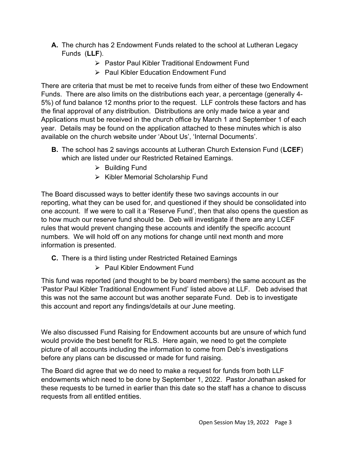- A. The church has 2 Endowment Funds related to the school at Lutheran Legacy Funds (LLF).
	- **► Pastor Paul Kibler Traditional Endowment Fund**
	- ▶ Paul Kibler Education Endowment Fund

There are criteria that must be met to receive funds from either of these two Endowment Funds. There are also limits on the distributions each year, a percentage (generally 4- 5%) of fund balance 12 months prior to the request. LLF controls these factors and has the final approval of any distribution. Distributions are only made twice a year and Applications must be received in the church office by March 1 and September 1 of each year. Details may be found on the application attached to these minutes which is also available on the church website under 'About Us', 'Internal Documents'.

- **B.** The school has 2 savings accounts at Lutheran Church Extension Fund (LCEF) which are listed under our Restricted Retained Earnings.
	- $\triangleright$  Building Fund
	- $\triangleright$  Kibler Memorial Scholarship Fund

The Board discussed ways to better identify these two savings accounts in our reporting, what they can be used for, and questioned if they should be consolidated into one account. If we were to call it a 'Reserve Fund', then that also opens the question as to how much our reserve fund should be. Deb will investigate if there are any LCEF rules that would prevent changing these accounts and identify the specific account numbers. We will hold off on any motions for change until next month and more information is presented.

- C. There is a third listing under Restricted Retained Earnings
	- $\triangleright$  Paul Kibler Endowment Fund

This fund was reported (and thought to be by board members) the same account as the 'Pastor Paul Kibler Traditional Endowment Fund' listed above at LLF. Deb advised that this was not the same account but was another separate Fund. Deb is to investigate this account and report any findings/details at our June meeting.

We also discussed Fund Raising for Endowment accounts but are unsure of which fund would provide the best benefit for RLS. Here again, we need to get the complete picture of all accounts including the information to come from Deb's investigations before any plans can be discussed or made for fund raising.

The Board did agree that we do need to make a request for funds from both LLF endowments which need to be done by September 1, 2022. Pastor Jonathan asked for these requests to be turned in earlier than this date so the staff has a chance to discuss requests from all entitled entities.